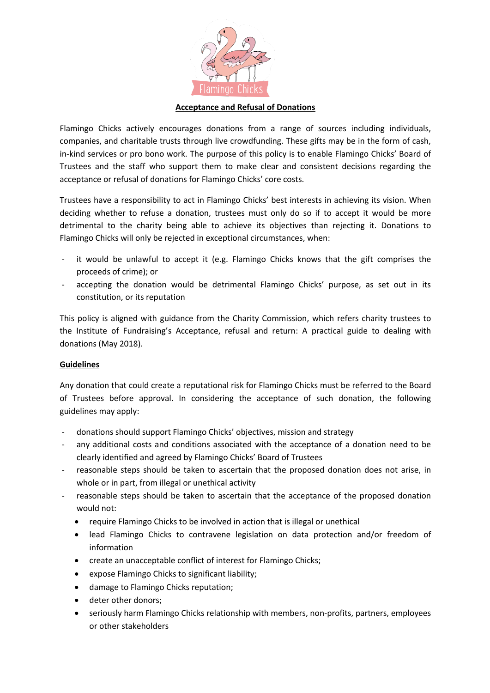

## **Acceptance and Refusal of Donations**

Flamingo Chicks actively encourages donations from a range of sources including individuals, companies, and charitable trusts through live crowdfunding. These gifts may be in the form of cash, in-kind services or pro bono work. The purpose of this policy is to enable Flamingo Chicks' Board of Trustees and the staff who support them to make clear and consistent decisions regarding the acceptance or refusal of donations for Flamingo Chicks' core costs.

Trustees have a responsibility to act in Flamingo Chicks' best interests in achieving its vision. When deciding whether to refuse a donation, trustees must only do so if to accept it would be more detrimental to the charity being able to achieve its objectives than rejecting it. Donations to Flamingo Chicks will only be rejected in exceptional circumstances, when:

- it would be unlawful to accept it (e.g. Flamingo Chicks knows that the gift comprises the proceeds of crime); or
- accepting the donation would be detrimental Flamingo Chicks' purpose, as set out in its constitution, or its reputation

This policy is aligned with guidance from the Charity Commission, which refers charity trustees to the Institute of Fundraising's Acceptance, refusal and return: A practical guide to dealing with donations (May 2018).

## **Guidelines**

Any donation that could create a reputational risk for Flamingo Chicks must be referred to the Board of Trustees before approval. In considering the acceptance of such donation, the following guidelines may apply:

- donations should support Flamingo Chicks' objectives, mission and strategy
- any additional costs and conditions associated with the acceptance of a donation need to be clearly identified and agreed by Flamingo Chicks' Board of Trustees
- reasonable steps should be taken to ascertain that the proposed donation does not arise, in whole or in part, from illegal or unethical activity
- reasonable steps should be taken to ascertain that the acceptance of the proposed donation would not:
	- require Flamingo Chicks to be involved in action that is illegal or unethical
	- lead Flamingo Chicks to contravene legislation on data protection and/or freedom of information
	- create an unacceptable conflict of interest for Flamingo Chicks;
	- expose Flamingo Chicks to significant liability;
	- damage to Flamingo Chicks reputation;
	- deter other donors;
	- seriously harm Flamingo Chicks relationship with members, non-profits, partners, employees or other stakeholders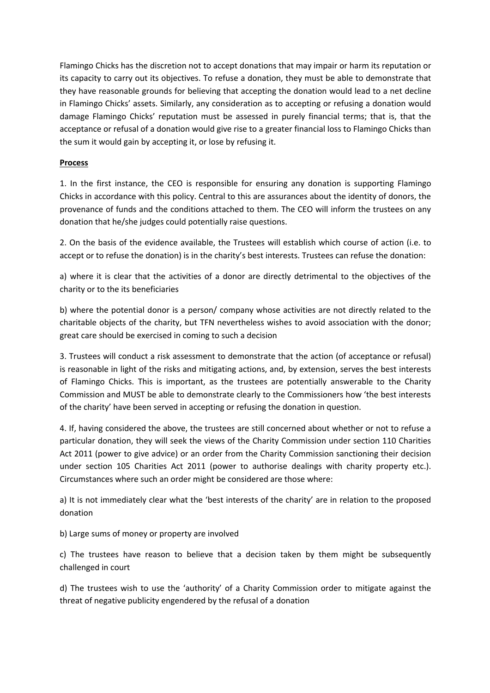Flamingo Chicks has the discretion not to accept donations that may impair or harm its reputation or its capacity to carry out its objectives. To refuse a donation, they must be able to demonstrate that they have reasonable grounds for believing that accepting the donation would lead to a net decline in Flamingo Chicks' assets. Similarly, any consideration as to accepting or refusing a donation would damage Flamingo Chicks' reputation must be assessed in purely financial terms; that is, that the acceptance or refusal of a donation would give rise to a greater financial loss to Flamingo Chicks than the sum it would gain by accepting it, or lose by refusing it.

## **Process**

1. In the first instance, the CEO is responsible for ensuring any donation is supporting Flamingo Chicks in accordance with this policy. Central to this are assurances about the identity of donors, the provenance of funds and the conditions attached to them. The CEO will inform the trustees on any donation that he/she judges could potentially raise questions.

2. On the basis of the evidence available, the Trustees will establish which course of action (i.e. to accept or to refuse the donation) is in the charity's best interests. Trustees can refuse the donation:

a) where it is clear that the activities of a donor are directly detrimental to the objectives of the charity or to the its beneficiaries

b) where the potential donor is a person/ company whose activities are not directly related to the charitable objects of the charity, but TFN nevertheless wishes to avoid association with the donor; great care should be exercised in coming to such a decision

3. Trustees will conduct a risk assessment to demonstrate that the action (of acceptance or refusal) is reasonable in light of the risks and mitigating actions, and, by extension, serves the best interests of Flamingo Chicks. This is important, as the trustees are potentially answerable to the Charity Commission and MUST be able to demonstrate clearly to the Commissioners how 'the best interests of the charity' have been served in accepting or refusing the donation in question.

4. If, having considered the above, the trustees are still concerned about whether or not to refuse a particular donation, they will seek the views of the Charity Commission under section 110 Charities Act 2011 (power to give advice) or an order from the Charity Commission sanctioning their decision under section 105 Charities Act 2011 (power to authorise dealings with charity property etc.). Circumstances where such an order might be considered are those where:

a) It is not immediately clear what the 'best interests of the charity' are in relation to the proposed donation

b) Large sums of money or property are involved

c) The trustees have reason to believe that a decision taken by them might be subsequently challenged in court

d) The trustees wish to use the 'authority' of a Charity Commission order to mitigate against the threat of negative publicity engendered by the refusal of a donation